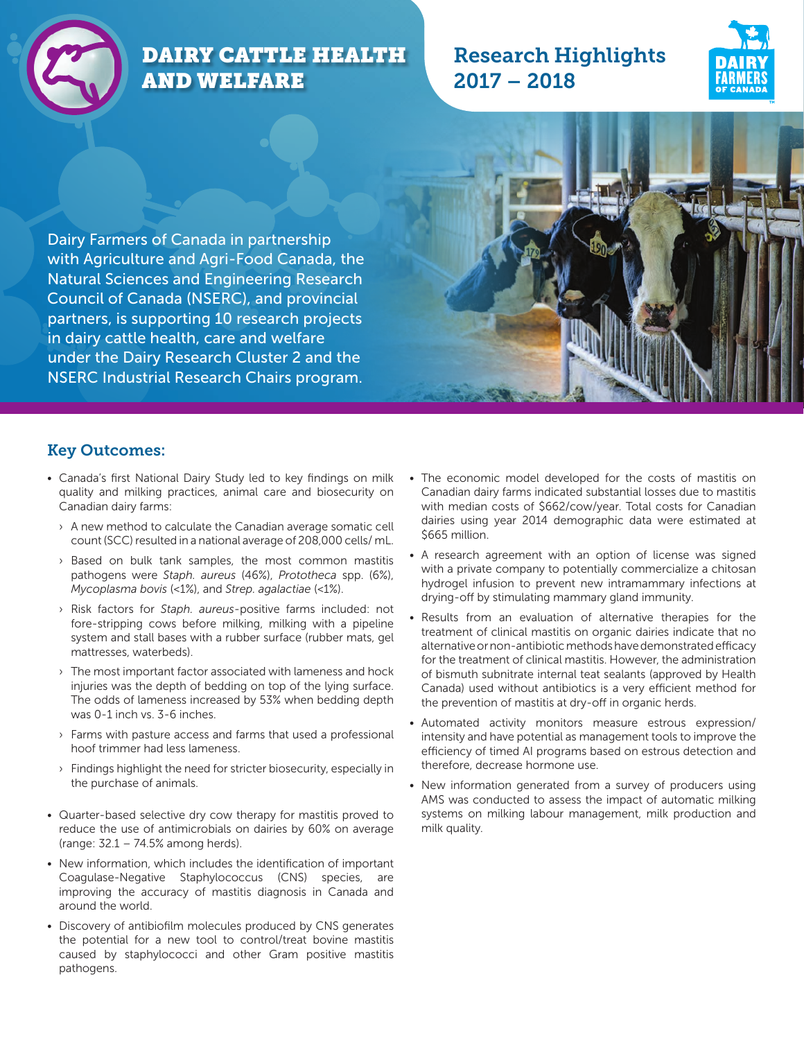

# DAIRY CATTLE HEALTH AND WELFARE

## Research Highlights 2017 – 2018



Dairy Farmers of Canada in partnership with Agriculture and Agri-Food Canada, the Natural Sciences and Engineering Research Council of Canada (NSERC), and provincial partners, is supporting 10 research projects in dairy cattle health, care and welfare under the Dairy Research Cluster 2 and the NSERC Industrial Research Chairs program.

#### Key Outcomes:

- Canada's first National Dairy Study led to key findings on milk quality and milking practices, animal care and biosecurity on Canadian dairy farms:
	- › A new method to calculate the Canadian average somatic cell count (SCC) resulted in a national average of 208,000 cells/ mL.
	- › Based on bulk tank samples, the most common mastitis pathogens were *Staph. aureus* (46%), *Prototheca* spp. (6%), *Mycoplasma bovis* (<1%), and *Strep. agalactiae* (<1%).
	- › Risk factors for *Staph. aureus*-positive farms included: not fore-stripping cows before milking, milking with a pipeline system and stall bases with a rubber surface (rubber mats, gel mattresses, waterbeds).
	- › The most important factor associated with lameness and hock injuries was the depth of bedding on top of the lying surface. The odds of lameness increased by 53% when bedding depth was 0-1 inch vs. 3-6 inches.
	- › Farms with pasture access and farms that used a professional hoof trimmer had less lameness.
	- › Findings highlight the need for stricter biosecurity, especially in the purchase of animals.
- Quarter-based selective dry cow therapy for mastitis proved to reduce the use of antimicrobials on dairies by 60% on average (range: 32.1 – 74.5% among herds).
- New information, which includes the identification of important Coagulase-Negative Staphylococcus (CNS) species, are improving the accuracy of mastitis diagnosis in Canada and around the world.
- Discovery of antibiofilm molecules produced by CNS generates the potential for a new tool to control/treat bovine mastitis caused by staphylococci and other Gram positive mastitis pathogens.
- The economic model developed for the costs of mastitis on Canadian dairy farms indicated substantial losses due to mastitis with median costs of \$662/cow/year. Total costs for Canadian dairies using year 2014 demographic data were estimated at \$665 million.
- A research agreement with an option of license was signed with a private company to potentially commercialize a chitosan hydrogel infusion to prevent new intramammary infections at drying-off by stimulating mammary gland immunity.
- Results from an evaluation of alternative therapies for the treatment of clinical mastitis on organic dairies indicate that no alternative or non-antibiotic methods have demonstrated efficacy for the treatment of clinical mastitis. However, the administration of bismuth subnitrate internal teat sealants (approved by Health Canada) used without antibiotics is a very efficient method for the prevention of mastitis at dry-off in organic herds.
- Automated activity monitors measure estrous expression/ intensity and have potential as management tools to improve the efficiency of timed AI programs based on estrous detection and therefore, decrease hormone use.
- New information generated from a survey of producers using AMS was conducted to assess the impact of automatic milking systems on milking labour management, milk production and milk quality.